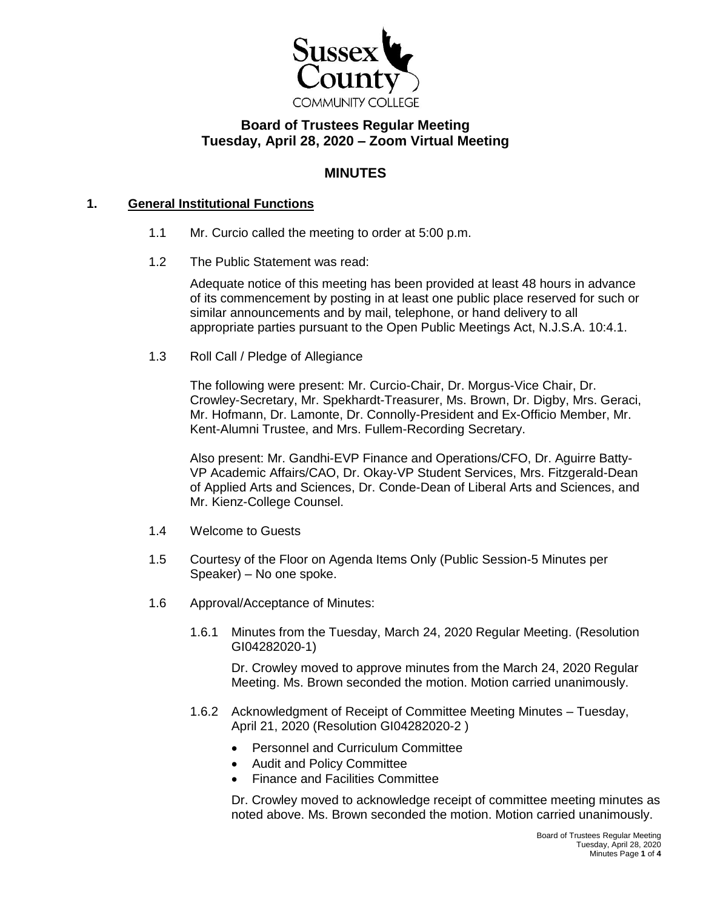

# **Board of Trustees Regular Meeting Tuesday, April 28, 2020 – Zoom Virtual Meeting**

## **MINUTES**

### **1. General Institutional Functions**

- 1.1 Mr. Curcio called the meeting to order at 5:00 p.m.
- 1.2 The Public Statement was read:

Adequate notice of this meeting has been provided at least 48 hours in advance of its commencement by posting in at least one public place reserved for such or similar announcements and by mail, telephone, or hand delivery to all appropriate parties pursuant to the Open Public Meetings Act, N.J.S.A. 10:4.1.

1.3 Roll Call / Pledge of Allegiance

The following were present: Mr. Curcio-Chair, Dr. Morgus-Vice Chair, Dr. Crowley-Secretary, Mr. Spekhardt-Treasurer, Ms. Brown, Dr. Digby, Mrs. Geraci, Mr. Hofmann, Dr. Lamonte, Dr. Connolly-President and Ex-Officio Member, Mr. Kent-Alumni Trustee, and Mrs. Fullem-Recording Secretary.

Also present: Mr. Gandhi-EVP Finance and Operations/CFO, Dr. Aguirre Batty-VP Academic Affairs/CAO, Dr. Okay-VP Student Services, Mrs. Fitzgerald-Dean of Applied Arts and Sciences, Dr. Conde-Dean of Liberal Arts and Sciences, and Mr. Kienz-College Counsel.

- 1.4 Welcome to Guests
- 1.5 Courtesy of the Floor on Agenda Items Only (Public Session-5 Minutes per Speaker) – No one spoke.
- 1.6 Approval/Acceptance of Minutes:
	- 1.6.1 Minutes from the Tuesday, March 24, 2020 Regular Meeting. (Resolution GI04282020-1)

Dr. Crowley moved to approve minutes from the March 24, 2020 Regular Meeting. Ms. Brown seconded the motion. Motion carried unanimously.

- 1.6.2 Acknowledgment of Receipt of Committee Meeting Minutes Tuesday, April 21, 2020 (Resolution GI04282020-2 )
	- Personnel and Curriculum Committee
	- Audit and Policy Committee
	- Finance and Facilities Committee

Dr. Crowley moved to acknowledge receipt of committee meeting minutes as noted above. Ms. Brown seconded the motion. Motion carried unanimously.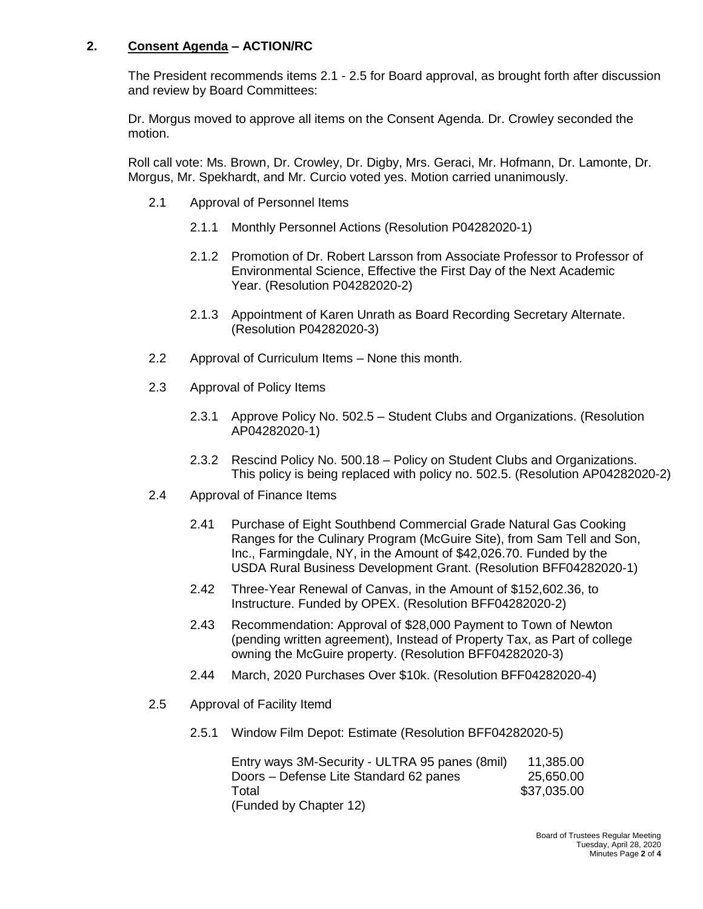## **2. Consent Agenda – ACTION/RC**

The President recommends items 2.1 - 2.5 for Board approval, as brought forth after discussion and review by Board Committees:

Dr. Morgus moved to approve all items on the Consent Agenda. Dr. Crowley seconded the motion.

Roll call vote: Ms. Brown, Dr. Crowley, Dr. Digby, Mrs. Geraci, Mr. Hofmann, Dr. Lamonte, Dr. Morgus, Mr. Spekhardt, and Mr. Curcio voted yes. Motion carried unanimously.

- 2.1 Approval of Personnel Items
	- 2.1.1 Monthly Personnel Actions (Resolution P04282020-1)
	- 2.1.2 Promotion of Dr. Robert Larsson from Associate Professor to Professor of Environmental Science, Effective the First Day of the Next Academic Year. (Resolution P04282020-2)
	- 2.1.3 Appointment of Karen Unrath as Board Recording Secretary Alternate. (Resolution P04282020-3)
- 2.2 Approval of Curriculum Items None this month.
- 2.3 Approval of Policy Items
	- 2.3.1 Approve Policy No. 502.5 Student Clubs and Organizations. (Resolution AP04282020-1)
	- 2.3.2 Rescind Policy No. 500.18 Policy on Student Clubs and Organizations. This policy is being replaced with policy no. 502.5. (Resolution AP04282020-2)
- 2.4 Approval of Finance Items
	- 2.41 Purchase of Eight Southbend Commercial Grade Natural Gas Cooking Ranges for the Culinary Program (McGuire Site), from Sam Tell and Son, Inc., Farmingdale, NY, in the Amount of \$42,026.70. Funded by the USDA Rural Business Development Grant. (Resolution BFF04282020-1)
	- 2.42 Three-Year Renewal of Canvas, in the Amount of \$152,602.36, to Instructure. Funded by OPEX. (Resolution BFF04282020-2)
	- 2.43 Recommendation: Approval of \$28,000 Payment to Town of Newton (pending written agreement), Instead of Property Tax, as Part of college owning the McGuire property. (Resolution BFF04282020-3)
	- 2.44 March, 2020 Purchases Over \$10k. (Resolution BFF04282020-4)
- 2.5 Approval of Facility Itemd
	- 2.5.1 Window Film Depot: Estimate (Resolution BFF04282020-5)

| Entry ways 3M-Security - ULTRA 95 panes (8mil) | 11,385.00   |
|------------------------------------------------|-------------|
| Doors – Defense Lite Standard 62 panes         | 25,650.00   |
| Total                                          | \$37,035.00 |
| (Funded by Chapter 12)                         |             |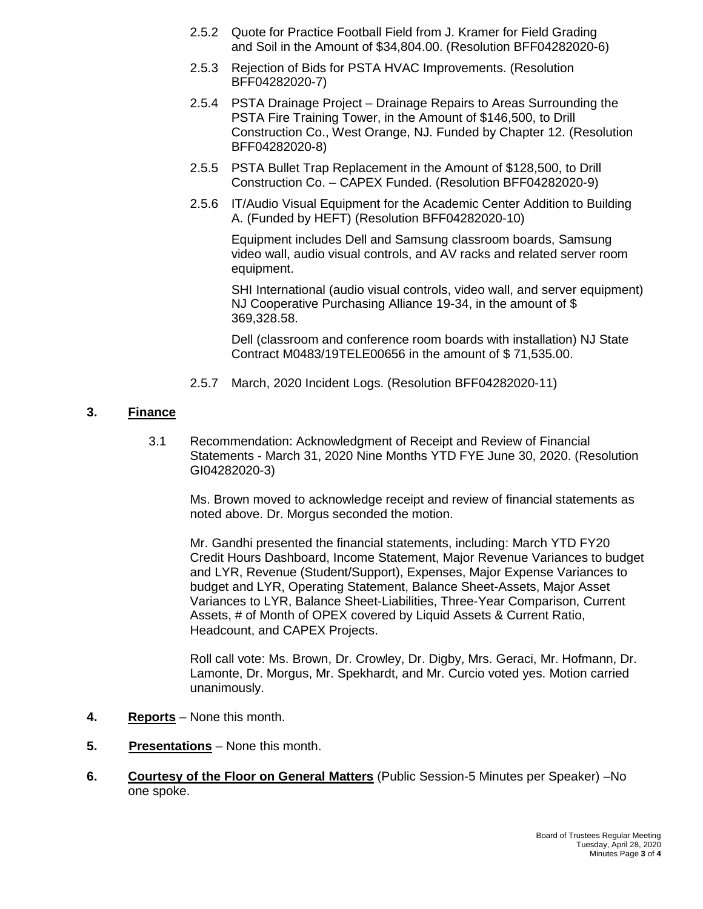- 2.5.2 Quote for Practice Football Field from J. Kramer for Field Grading and Soil in the Amount of \$34,804.00. (Resolution BFF04282020-6)
- 2.5.3 Rejection of Bids for PSTA HVAC Improvements. (Resolution BFF04282020-7)
- 2.5.4 PSTA Drainage Project Drainage Repairs to Areas Surrounding the PSTA Fire Training Tower, in the Amount of \$146,500, to Drill Construction Co., West Orange, NJ. Funded by Chapter 12. (Resolution BFF04282020-8)
- 2.5.5 PSTA Bullet Trap Replacement in the Amount of \$128,500, to Drill Construction Co. – CAPEX Funded. (Resolution BFF04282020-9)
- 2.5.6 IT/Audio Visual Equipment for the Academic Center Addition to Building A. (Funded by HEFT) (Resolution BFF04282020-10)

Equipment includes Dell and Samsung classroom boards, Samsung video wall, audio visual controls, and AV racks and related server room equipment.

SHI International (audio visual controls, video wall, and server equipment) NJ Cooperative Purchasing Alliance 19-34, in the amount of \$ 369,328.58.

Dell (classroom and conference room boards with installation) NJ State Contract M0483/19TELE00656 in the amount of \$ 71,535.00.

2.5.7 March, 2020 Incident Logs. (Resolution BFF04282020-11)

### **3. Finance**

3.1 Recommendation: Acknowledgment of Receipt and Review of Financial Statements - March 31, 2020 Nine Months YTD FYE June 30, 2020. (Resolution GI04282020-3)

Ms. Brown moved to acknowledge receipt and review of financial statements as noted above. Dr. Morgus seconded the motion.

Mr. Gandhi presented the financial statements, including: March YTD FY20 Credit Hours Dashboard, Income Statement, Major Revenue Variances to budget and LYR, Revenue (Student/Support), Expenses, Major Expense Variances to budget and LYR, Operating Statement, Balance Sheet-Assets, Major Asset Variances to LYR, Balance Sheet-Liabilities, Three-Year Comparison, Current Assets, # of Month of OPEX covered by Liquid Assets & Current Ratio, Headcount, and CAPEX Projects.

Roll call vote: Ms. Brown, Dr. Crowley, Dr. Digby, Mrs. Geraci, Mr. Hofmann, Dr. Lamonte, Dr. Morgus, Mr. Spekhardt, and Mr. Curcio voted yes. Motion carried unanimously.

- **4. Reports** None this month.
- **5. Presentations** None this month.
- **6. Courtesy of the Floor on General Matters** (Public Session-5 Minutes per Speaker) –No one spoke.